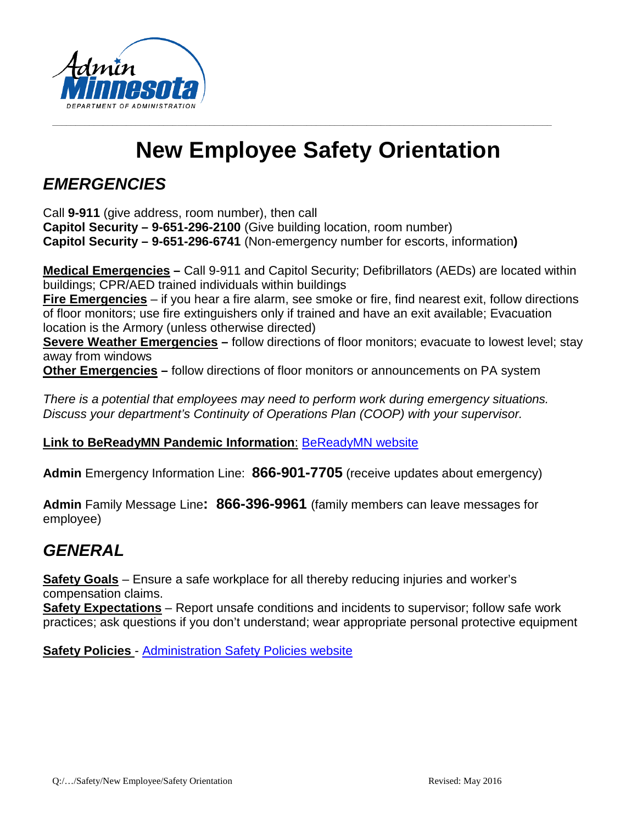

# **New Employee Safety Orientation**

**\_\_\_\_\_\_\_\_\_\_\_\_\_\_\_\_\_\_\_\_\_\_\_\_\_\_\_\_\_\_\_\_\_\_\_\_\_\_\_\_\_\_\_\_\_\_\_\_\_\_\_\_\_\_\_\_\_\_\_\_\_\_\_\_\_\_\_\_\_\_\_\_\_\_\_\_\_\_\_\_\_\_\_\_\_\_\_\_\_\_\_\_\_\_\_\_\_\_\_\_\_\_\_\_\_\_\_\_**

# *EMERGENCIES*

Call **9-911** (give address, room number), then call

**Capitol Security – 9-651-296-2100** (Give building location, room number) **Capitol Security – 9-651-296-6741** (Non-emergency number for escorts, information**)**

**Medical Emergencies –** Call 9-911 and Capitol Security; Defibrillators (AEDs) are located within buildings; CPR/AED trained individuals within buildings

**Fire Emergencies** – if you hear a fire alarm, see smoke or fire, find nearest exit, follow directions of floor monitors; use fire extinguishers only if trained and have an exit available; Evacuation location is the Armory (unless otherwise directed)

**Severe Weather Emergencies** – follow directions of floor monitors; evacuate to lowest level; stay away from windows

**Other Emergencies –** follow directions of floor monitors or announcements on PA system

*There is a potential that employees may need to perform work during emergency situations. Discuss your department's Continuity of Operations Plan (COOP) with your supervisor.*

#### **Link to BeReadyMN Pandemic Information**: [BeReadyMN website](http://www.bereadymn.com/)

**Admin** Emergency Information Line: **866-901-7705** (receive updates about emergency)

**Admin** Family Message Line**: 866-396-9961** (family members can leave messages for employee)

#### *GENERAL*

**Safety Goals** – Ensure a safe workplace for all thereby reducing injuries and worker's compensation claims.

**Safety Expectations** – Report unsafe conditions and incidents to supervisor; follow safe work practices; ask questions if you don't understand; wear appropriate personal protective equipment

**Safety Policies** - [Administration Safety Policies website](http://mn.gov/admin/employees/hr/employees/safety/policies-programs/)